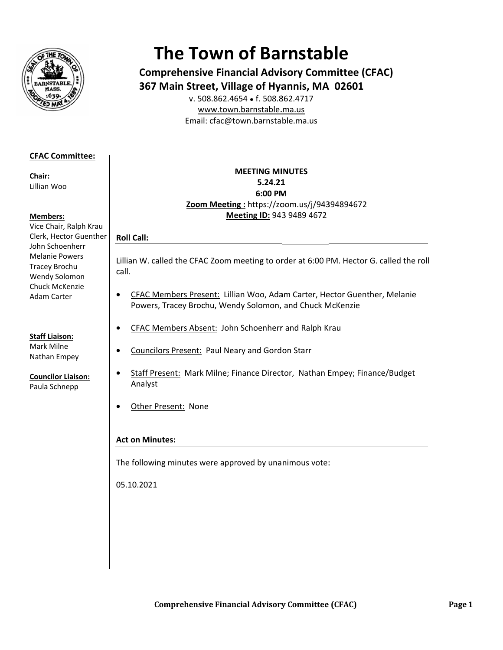

# **The Town of Barnstable**

**Comprehensive Financial Advisory Committee (CFAC)** 367 Main Street, Village of Hyannis, MA 02601

v. 508.862.4654 • f. 508.862.4717 www.town.barnstable.ma.us Email: cfac@town.barnstable.ma.us

## **CFAC Committee:**

Chair: Lillian Woo

#### **Members:**

Vice Chair, Ralph Krau Clerk, Hector Guenther John Schoenherr **Melanie Powers** Tracey Brochu Wendy Solomon Chuck McKenzie **Adam Carter** 

**Staff Liaison:** Mark Milne Nathan Empey

**Councilor Liaison:** 

Paula Schnepp

### **MEETING MINUTES** 5.24.21 6:00 PM Zoom Meeting: https://zoom.us/j/94394894672 Meeting ID: 943 9489 4672

# **Roll Call:**

 $\bullet$ 

Lillian W. called the CFAC Zoom meeting to order at 6:00 PM. Hector G. called the roll call.

- CFAC Members Present: Lillian Woo, Adam Carter, Hector Guenther, Melanie  $\bullet$ Powers, Tracey Brochu, Wendy Solomon, and Chuck McKenzie
- CFAC Members Absent: John Schoenherr and Ralph Krau  $\bullet$
- $\bullet$ **Councilors Present: Paul Neary and Gordon Starr** 
	- Staff Present: Mark Milne; Finance Director, Nathan Empey; Finance/Budget Analyst
- Other Present: None  $\bullet$

## **Act on Minutes:**

The following minutes were approved by unanimous vote:

05.10.2021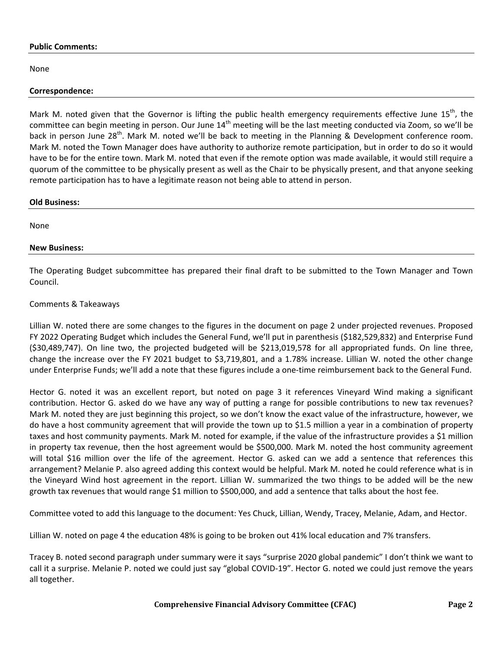#### **Public Comments:**

None

#### **Correspondence:**

Mark M. noted given that the Governor is lifting the public health emergency requirements effective June 15<sup>th</sup>, the committee can begin meeting in person. Our June  $14<sup>th</sup>$  meeting will be the last meeting conducted via Zoom, so we'll be back in person June 28<sup>th</sup>. Mark M. noted we'll be back to meeting in the Planning & Development conference room. Mark M. noted the Town Manager does have authority to authorize remote participation, but in order to do so it would have to be for the entire town. Mark M. noted that even if the remote option was made available, it would still require a quorum of the committee to be physically present as well as the Chair to be physically present, and that anyone seeking remote participation has to have a legitimate reason not being able to attend in person.

#### **Old Business:**

None

#### **New Business:**

The Operating Budget subcommittee has prepared their final draft to be submitted to the Town Manager and Town Council.

#### Comments & Takeaways

Lillian W. noted there are some changes to the figures in the document on page 2 under projected revenues. Proposed FY 2022 Operating Budget which includes the General Fund, we'll put in parenthesis (\$182,529,832) and Enterprise Fund (\$30,489,747). On line two, the projected budgeted will be \$213,019,578 for all appropriated funds. On line three, change the increase over the FY 2021 budget to \$3,719,801, and a 1.78% increase. Lillian W. noted the other change under Enterprise Funds; we'll add a note that these figures include a one-time reimbursement back to the General Fund.

Hector G. noted it was an excellent report, but noted on page 3 it references Vineyard Wind making a significant contribution. Hector G. asked do we have any way of putting a range for possible contributions to new tax revenues? Mark M. noted they are just beginning this project, so we don't know the exact value of the infrastructure, however, we do have a host community agreement that will provide the town up to \$1.5 million a year in a combination of property taxes and host community payments. Mark M. noted for example, if the value of the infrastructure provides a \$1 million in property tax revenue, then the host agreement would be \$500,000. Mark M. noted the host community agreement will total \$16 million over the life of the agreement. Hector G. asked can we add a sentence that references this arrangement? Melanie P. also agreed adding this context would be helpful. Mark M. noted he could reference what is in the Vineyard Wind host agreement in the report. Lillian W. summarized the two things to be added will be the new growth tax revenues that would range \$1 million to \$500,000, and add a sentence that talks about the host fee.

Committee voted to add this language to the document: Yes Chuck, Lillian, Wendy, Tracey, Melanie, Adam, and Hector.

Lillian W. noted on page 4 the education 48% is going to be broken out 41% local education and 7% transfers.

Tracey B. noted second paragraph under summary were it says "surprise 2020 global pandemic" I don't think we want to call it a surprise. Melanie P. noted we could just say "global COVID-19". Hector G. noted we could just remove the years all together.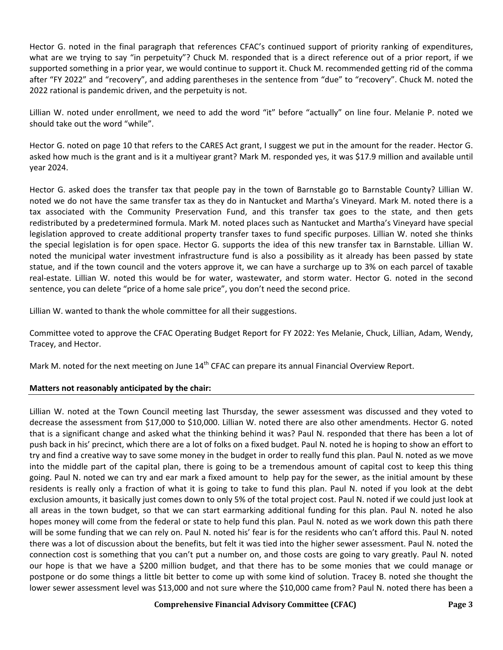Hector G. noted in the final paragraph that references CFAC's continued support of priority ranking of expenditures, what are we trying to say "in perpetuity"? Chuck M. responded that is a direct reference out of a prior report, if we supported something in a prior year, we would continue to support it. Chuck M. recommended getting rid of the comma after "FY 2022" and "recovery", and adding parentheses in the sentence from "due" to "recovery". Chuck M. noted the 2022 rational is pandemic driven, and the perpetuity is not.

Lillian W. noted under enrollment, we need to add the word "it" before "actually" on line four. Melanie P. noted we should take out the word "while".

Hector G. noted on page 10 that refers to the CARES Act grant, I suggest we put in the amount for the reader. Hector G. asked how much is the grant and is it a multiyear grant? Mark M. responded yes, it was \$17.9 million and available until year 2024.

Hector G. asked does the transfer tax that people pay in the town of Barnstable go to Barnstable County? Lillian W. noted we do not have the same transfer tax as they do in Nantucket and Martha's Vineyard. Mark M. noted there is a tax associated with the Community Preservation Fund, and this transfer tax goes to the state, and then gets redistributed by a predetermined formula. Mark M. noted places such as Nantucket and Martha's Vineyard have special legislation approved to create additional property transfer taxes to fund specific purposes. Lillian W. noted she thinks the special legislation is for open space. Hector G. supports the idea of this new transfer tax in Barnstable. Lillian W. noted the municipal water investment infrastructure fund is also a possibility as it already has been passed by state statue, and if the town council and the voters approve it, we can have a surcharge up to 3% on each parcel of taxable real-estate. Lillian W. noted this would be for water, wastewater, and storm water. Hector G. noted in the second sentence, you can delete "price of a home sale price", you don't need the second price.

Lillian W. wanted to thank the whole committee for all their suggestions.

Committee voted to approve the CFAC Operating Budget Report for FY 2022: Yes Melanie, Chuck, Lillian, Adam, Wendy, Tracey, and Hector.

Mark M. noted for the next meeting on June 14<sup>th</sup> CFAC can prepare its annual Financial Overview Report.

#### **Matters not reasonably anticipated by the chair:**

Lillian W. noted at the Town Council meeting last Thursday, the sewer assessment was discussed and they voted to decrease the assessment from \$17,000 to \$10,000. Lillian W. noted there are also other amendments. Hector G. noted that is a significant change and asked what the thinking behind it was? Paul N. responded that there has been a lot of push back in his' precinct, which there are a lot of folks on a fixed budget. Paul N. noted he is hoping to show an effort to try and find a creative way to save some money in the budget in order to really fund this plan. Paul N. noted as we move into the middle part of the capital plan, there is going to be a tremendous amount of capital cost to keep this thing going. Paul N. noted we can try and ear mark a fixed amount to help pay for the sewer, as the initial amount by these residents is really only a fraction of what it is going to take to fund this plan. Paul N. noted if you look at the debt exclusion amounts, it basically just comes down to only 5% of the total project cost. Paul N. noted if we could just look at all areas in the town budget, so that we can start earmarking additional funding for this plan. Paul N. noted he also hopes money will come from the federal or state to help fund this plan. Paul N. noted as we work down this path there will be some funding that we can rely on. Paul N. noted his' fear is for the residents who can't afford this. Paul N. noted there was a lot of discussion about the benefits, but felt it was tied into the higher sewer assessment. Paul N. noted the connection cost is something that you can't put a number on, and those costs are going to vary greatly. Paul N. noted our hope is that we have a \$200 million budget, and that there has to be some monies that we could manage or postpone or do some things a little bit better to come up with some kind of solution. Tracey B. noted she thought the lower sewer assessment level was \$13,000 and not sure where the \$10,000 came from? Paul N. noted there has been a